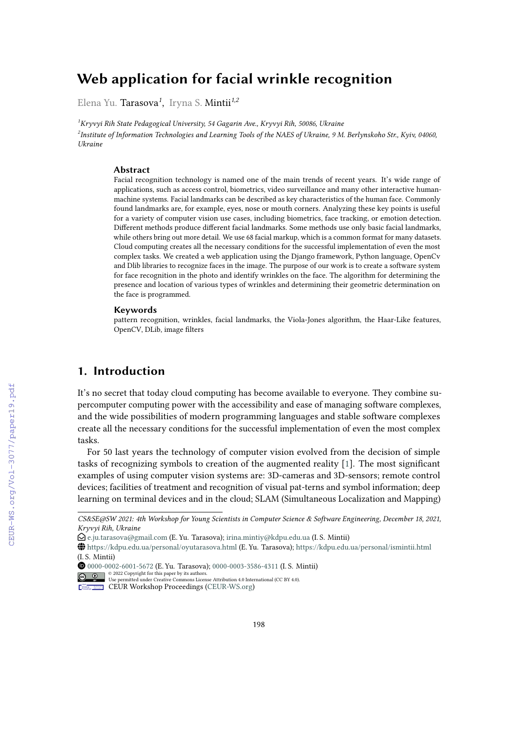# **Web application for facial wrinkle recognition**

Elena Yu. Tarasova*<sup>1</sup>* , Iryna S. Mintii*1,2*

*<sup>1</sup>Kryvyi Rih State Pedagogical University, 54 Gagarin Ave., Kryvyi Rih, 50086, Ukraine 2 Institute of Information Technologies and Learning Tools of the NAES of Ukraine, 9 M. Berlynskoho Str., Kyiv, 04060, Ukraine*

#### **Abstract**

Facial recognition technology is named one of the main trends of recent years. It's wide range of applications, such as access control, biometrics, video surveillance and many other interactive humanmachine systems. Facial landmarks can be described as key characteristics of the human face. Commonly found landmarks are, for example, eyes, nose or mouth corners. Analyzing these key points is useful for a variety of computer vision use cases, including biometrics, face tracking, or emotion detection. Different methods produce different facial landmarks. Some methods use only basic facial landmarks, while others bring out more detail. We use 68 facial markup, which is a common format for many datasets. Cloud computing creates all the necessary conditions for the successful implementation of even the most complex tasks. We created a web application using the Django framework, Python language, OpenCv and Dlib libraries to recognize faces in the image. The purpose of our work is to create a software system for face recognition in the photo and identify wrinkles on the face. The algorithm for determining the presence and location of various types of wrinkles and determining their geometric determination on the face is programmed.

#### **Keywords**

pattern recognition, wrinkles, facial landmarks, the Viola-Jones algorithm, the Haar-Like features, OpenCV, DLib, image filters

# **1. Introduction**

It's no secret that today cloud computing has become available to everyone. They combine supercomputer computing power with the accessibility and ease of managing software complexes, and the wide possibilities of modern programming languages and stable software complexes create all the necessary conditions for the successful implementation of even the most complex tasks.

For 50 last years the technology of computer vision evolved from the decision of simple tasks of recognizing symbols to creation of the augmented reality [\[1\]](#page--1-0). The most significant examples of using computer vision systems are: 3D-cameras and 3D-sensors; remote control devices; facilities of treatment and recognition of visual pat-terns and symbol information; deep learning on terminal devices and in the cloud; SLAM (Simultaneous Localization and Mapping)

[0000-0002-6001-5672](https://orcid.org/0000-0002-6001-5672) (E. Yu. Tarasova); [0000-0003-3586-4311](https://orcid.org/0000-0003-3586-4311) (I. S. Mintii)

*Kryvyi Rih, Ukraine CS&SE@SW 2021: 4th Workshop for Young Scientists in Computer Science & Software Engineering, December 18, 2021,*

 $\bigcirc$ [e.ju.tarasova@gmail.com](mailto:e.ju.tarasova@gmail.com) (E. Yu. Tarasova); [irina.mintiy@kdpu.edu.ua](mailto:irina.mintiy@kdpu.edu.ua) (I. S. Mintii)

<sup>~</sup> <https://kdpu.edu.ua/personal/oyutarasova.html> (E. Yu. Tarasova); <https://kdpu.edu.ua/personal/ismintii.html> (I. S. Mintii)

 $\frac{1}{20}$   $\frac{1}{20}$   $\frac{1}{20}$   $\frac{1}{20}$   $\frac{1}{20}$   $\frac{1}{20}$   $\frac{1}{20}$   $\frac{1}{20}$   $\frac{1}{20}$   $\frac{1}{20}$   $\frac{1}{20}$   $\frac{1}{20}$   $\frac{1}{20}$   $\frac{1}{20}$   $\frac{1}{20}$   $\frac{1}{20}$   $\frac{1}{20}$   $\frac{1}{20}$   $\frac{1}{20}$   $\frac{1}{20}$ 

**CEUR Workshop [Proceedings](http://ceur-ws.org) [\(CEUR-WS.org\)](http://ceur-ws.org)**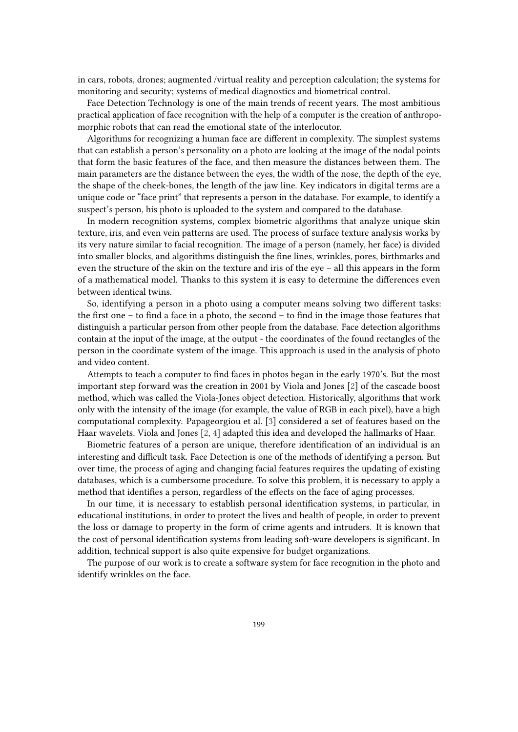in cars, robots, drones; augmented /virtual reality and perception calculation; the systems for monitoring and security; systems of medical diagnostics and biometrical control.

Face Detection Technology is one of the main trends of recent years. The most ambitious practical application of face recognition with the help of a computer is the creation of anthropomorphic robots that can read the emotional state of the interlocutor.

Algorithms for recognizing a human face are different in complexity. The simplest systems that can establish a person's personality on a photo are looking at the image of the nodal points that form the basic features of the face, and then measure the distances between them. The main parameters are the distance between the eyes, the width of the nose, the depth of the eye, the shape of the cheek-bones, the length of the jaw line. Key indicators in digital terms are a unique code or "face print" that represents a person in the database. For example, to identify a suspect's person, his photo is uploaded to the system and compared to the database.

In modern recognition systems, complex biometric algorithms that analyze unique skin texture, iris, and even vein patterns are used. The process of surface texture analysis works by its very nature similar to facial recognition. The image of a person (namely, her face) is divided into smaller blocks, and algorithms distinguish the fine lines, wrinkles, pores, birthmarks and even the structure of the skin on the texture and iris of the eye – all this appears in the form of a mathematical model. Thanks to this system it is easy to determine the differences even between identical twins.

So, identifying a person in a photo using a computer means solving two different tasks: the first one – to find a face in a photo, the second – to find in the image those features that distinguish a particular person from other people from the database. Face detection algorithms contain at the input of the image, at the output - the coordinates of the found rectangles of the person in the coordinate system of the image. This approach is used in the analysis of photo and video content.

Attempts to teach a computer to find faces in photos began in the early 1970's. But the most important step forward was the creation in 2001 by Viola and Jones [\[2\]](#page-11-0) of the cascade boost method, which was called the Viola-Jones object detection. Historically, algorithms that work only with the intensity of the image (for example, the value of RGB in each pixel), have a high computational complexity. Papageorgiou et al. [\[3\]](#page-11-1) considered a set of features based on the Haar wavelets. Viola and Jones [\[2,](#page-11-0) [4\]](#page-11-2) adapted this idea and developed the hallmarks of Haar.

Biometric features of a person are unique, therefore identification of an individual is an interesting and difficult task. Face Detection is one of the methods of identifying a person. But over time, the process of aging and changing facial features requires the updating of existing databases, which is a cumbersome procedure. To solve this problem, it is necessary to apply a method that identifies a person, regardless of the effects on the face of aging processes.

In our time, it is necessary to establish personal identification systems, in particular, in educational institutions, in order to protect the lives and health of people, in order to prevent the loss or damage to property in the form of crime agents and intruders. It is known that the cost of personal identification systems from leading soft-ware developers is significant. In addition, technical support is also quite expensive for budget organizations.

The purpose of our work is to create a software system for face recognition in the photo and identify wrinkles on the face.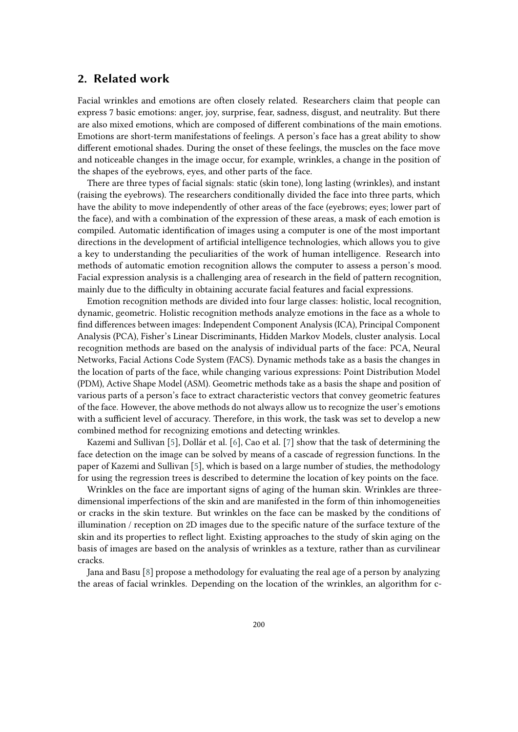# **2. Related work**

Facial wrinkles and emotions are often closely related. Researchers claim that people can express 7 basic emotions: anger, joy, surprise, fear, sadness, disgust, and neutrality. But there are also mixed emotions, which are composed of different combinations of the main emotions. Emotions are short-term manifestations of feelings. A person's face has a great ability to show different emotional shades. During the onset of these feelings, the muscles on the face move and noticeable changes in the image occur, for example, wrinkles, a change in the position of the shapes of the eyebrows, eyes, and other parts of the face.

There are three types of facial signals: static (skin tone), long lasting (wrinkles), and instant (raising the eyebrows). The researchers conditionally divided the face into three parts, which have the ability to move independently of other areas of the face (eyebrows; eyes; lower part of the face), and with a combination of the expression of these areas, a mask of each emotion is compiled. Automatic identification of images using a computer is one of the most important directions in the development of artificial intelligence technologies, which allows you to give a key to understanding the peculiarities of the work of human intelligence. Research into methods of automatic emotion recognition allows the computer to assess a person's mood. Facial expression analysis is a challenging area of research in the field of pattern recognition, mainly due to the difficulty in obtaining accurate facial features and facial expressions.

Emotion recognition methods are divided into four large classes: holistic, local recognition, dynamic, geometric. Holistic recognition methods analyze emotions in the face as a whole to find differences between images: Independent Component Analysis (ICA), Principal Component Analysis (PCA), Fisher's Linear Discriminants, Hidden Markov Models, cluster analysis. Local recognition methods are based on the analysis of individual parts of the face: PCA, Neural Networks, Facial Actions Code System (FACS). Dynamic methods take as a basis the changes in the location of parts of the face, while changing various expressions: Point Distribution Model (PDM), Active Shape Model (ASM). Geometric methods take as a basis the shape and position of various parts of a person's face to extract characteristic vectors that convey geometric features of the face. However, the above methods do not always allow us to recognize the user's emotions with a sufficient level of accuracy. Therefore, in this work, the task was set to develop a new combined method for recognizing emotions and detecting wrinkles.

Kazemi and Sullivan [\[5\]](#page-11-3), Dollár et al. [\[6\]](#page-11-4), Cao et al. [\[7\]](#page-11-5) show that the task of determining the face detection on the image can be solved by means of a cascade of regression functions. In the paper of Kazemi and Sullivan [\[5\]](#page-11-3), which is based on a large number of studies, the methodology for using the regression trees is described to determine the location of key points on the face.

Wrinkles on the face are important signs of aging of the human skin. Wrinkles are threedimensional imperfections of the skin and are manifested in the form of thin inhomogeneities or cracks in the skin texture. But wrinkles on the face can be masked by the conditions of illumination / reception on 2D images due to the specific nature of the surface texture of the skin and its properties to reflect light. Existing approaches to the study of skin aging on the basis of images are based on the analysis of wrinkles as a texture, rather than as curvilinear cracks.

Jana and Basu [\[8\]](#page-11-6) propose a methodology for evaluating the real age of a person by analyzing the areas of facial wrinkles. Depending on the location of the wrinkles, an algorithm for c-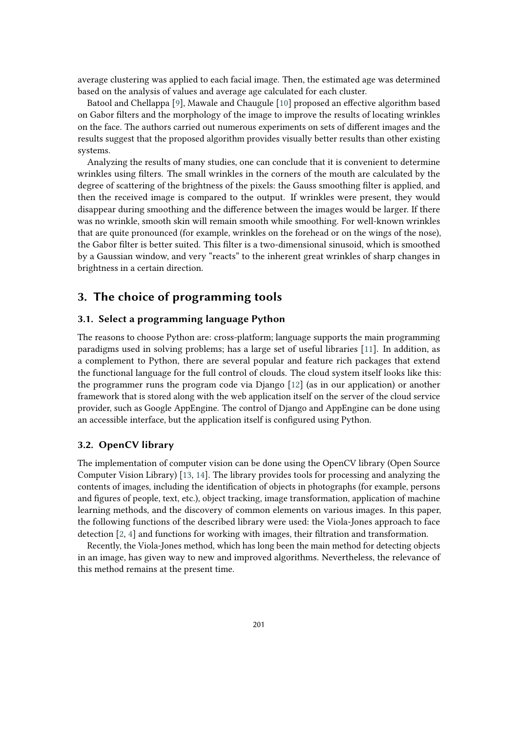average clustering was applied to each facial image. Then, the estimated age was determined based on the analysis of values and average age calculated for each cluster.

Batool and Chellappa [\[9\]](#page-11-7), Mawale and Chaugule [\[10\]](#page-12-0) proposed an effective algorithm based on Gabor filters and the morphology of the image to improve the results of locating wrinkles on the face. The authors carried out numerous experiments on sets of different images and the results suggest that the proposed algorithm provides visually better results than other existing systems.

Analyzing the results of many studies, one can conclude that it is convenient to determine wrinkles using filters. The small wrinkles in the corners of the mouth are calculated by the degree of scattering of the brightness of the pixels: the Gauss smoothing filter is applied, and then the received image is compared to the output. If wrinkles were present, they would disappear during smoothing and the difference between the images would be larger. If there was no wrinkle, smooth skin will remain smooth while smoothing. For well-known wrinkles that are quite pronounced (for example, wrinkles on the forehead or on the wings of the nose), the Gabor filter is better suited. This filter is a two-dimensional sinusoid, which is smoothed by a Gaussian window, and very "reacts" to the inherent great wrinkles of sharp changes in brightness in a certain direction.

# **3. The choice of programming tools**

### **3.1. Select a programming language Python**

The reasons to choose Python are: cross-platform; language supports the main programming paradigms used in solving problems; has a large set of useful libraries [\[11\]](#page-12-1). In addition, as a complement to Python, there are several popular and feature rich packages that extend the functional language for the full control of clouds. The cloud system itself looks like this: the programmer runs the program code via Django [\[12\]](#page-12-2) (as in our application) or another framework that is stored along with the web application itself on the server of the cloud service provider, such as Google AppEngine. The control of Django and AppEngine can be done using an accessible interface, but the application itself is configured using Python.

## **3.2. OpenCV library**

The implementation of computer vision can be done using the OpenCV library (Open Source Computer Vision Library) [\[13,](#page-12-3) [14\]](#page-12-4). The library provides tools for processing and analyzing the contents of images, including the identification of objects in photographs (for example, persons and figures of people, text, etc.), object tracking, image transformation, application of machine learning methods, and the discovery of common elements on various images. In this paper, the following functions of the described library were used: the Viola-Jones approach to face detection [\[2,](#page-11-0) [4\]](#page-11-2) and functions for working with images, their filtration and transformation.

Recently, the Viola-Jones method, which has long been the main method for detecting objects in an image, has given way to new and improved algorithms. Nevertheless, the relevance of this method remains at the present time.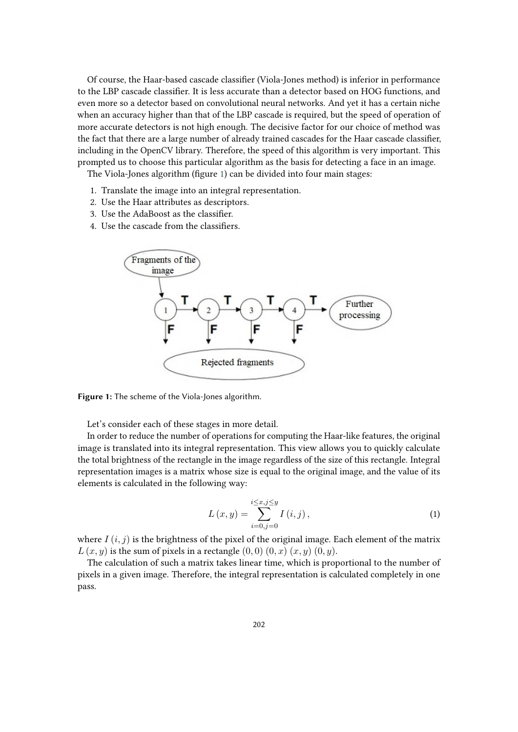Of course, the Haar-based cascade classifier (Viola-Jones method) is inferior in performance to the LBP cascade classifier. It is less accurate than a detector based on HOG functions, and even more so a detector based on convolutional neural networks. And yet it has a certain niche when an accuracy higher than that of the LBP cascade is required, but the speed of operation of more accurate detectors is not high enough. The decisive factor for our choice of method was the fact that there are a large number of already trained cascades for the Haar cascade classifier, including in the OpenCV library. Therefore, the speed of this algorithm is very important. This prompted us to choose this particular algorithm as the basis for detecting a face in an image.

The Viola-Jones algorithm (figure [1\)](#page-4-0) can be divided into four main stages:

- 1. Translate the image into an integral representation.
- 2. Use the Haar attributes as descriptors.
- 3. Use the AdaBoost as the classifier.
- 4. Use the cascade from the classifiers.



<span id="page-4-0"></span>**Figure 1:** The scheme of the Viola-Jones algorithm.

Let's consider each of these stages in more detail.

In order to reduce the number of operations for computing the Haar-like features, the original image is translated into its integral representation. This view allows you to quickly calculate the total brightness of the rectangle in the image regardless of the size of this rectangle. Integral representation images is a matrix whose size is equal to the original image, and the value of its elements is calculated in the following way:

$$
L(x,y) = \sum_{i=0,j=0}^{i \le x, j \le y} I(i,j),
$$
 (1)

where  $I(i, j)$  is the brightness of the pixel of the original image. Each element of the matrix  $L(x, y)$  is the sum of pixels in a rectangle  $(0, 0)$   $(0, x)$   $(x, y)$   $(0, y)$ .

The calculation of such a matrix takes linear time, which is proportional to the number of pixels in a given image. Therefore, the integral representation is calculated completely in one pass.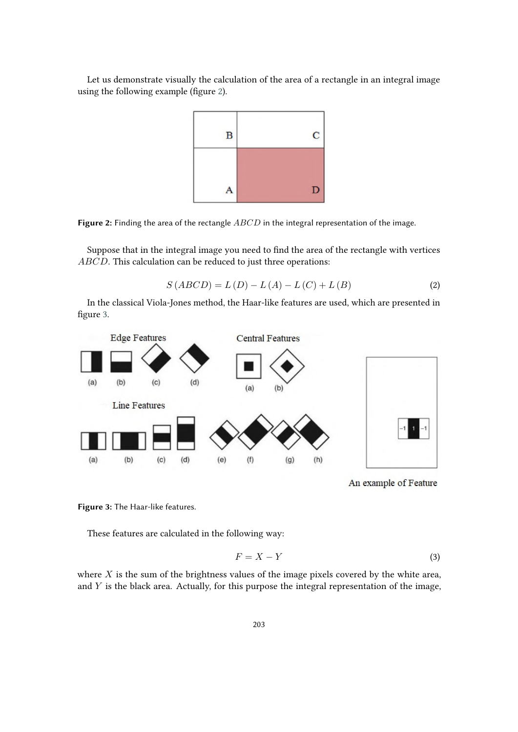Let us demonstrate visually the calculation of the area of a rectangle in an integral image using the following example (figure [2\)](#page-5-0).



<span id="page-5-0"></span>Figure 2: Finding the area of the rectangle  $ABCD$  in the integral representation of the image.

Suppose that in the integral image you need to find the area of the rectangle with vertices  $ABCD$ . This calculation can be reduced to just three operations:

$$
S(ABCD) = L(D) - L(A) - L(C) + L(B)
$$
\n(2)

In the classical Viola-Jones method, the Haar-like features are used, which are presented in figure [3.](#page-5-1)



An example of Feature

<span id="page-5-1"></span>**Figure 3:** The Haar-like features.

These features are calculated in the following way:

$$
F = X - Y \tag{3}
$$

where  $X$  is the sum of the brightness values of the image pixels covered by the white area, and  $Y$  is the black area. Actually, for this purpose the integral representation of the image,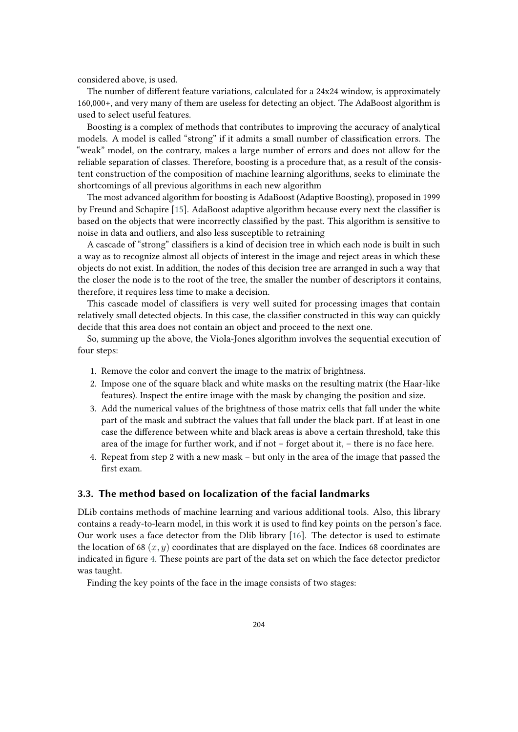considered above, is used.

The number of different feature variations, calculated for a 24x24 window, is approximately 160,000+, and very many of them are useless for detecting an object. The AdaBoost algorithm is used to select useful features.

Boosting is a complex of methods that contributes to improving the accuracy of analytical models. A model is called "strong" if it admits a small number of classification errors. The "weak" model, on the contrary, makes a large number of errors and does not allow for the reliable separation of classes. Therefore, boosting is a procedure that, as a result of the consistent construction of the composition of machine learning algorithms, seeks to eliminate the shortcomings of all previous algorithms in each new algorithm

The most advanced algorithm for boosting is AdaBoost (Adaptive Boosting), proposed in 1999 by Freund and Schapire [\[15\]](#page-12-5). AdaBoost adaptive algorithm because every next the classifier is based on the objects that were incorrectly classified by the past. This algorithm is sensitive to noise in data and outliers, and also less susceptible to retraining

A cascade of "strong" classifiers is a kind of decision tree in which each node is built in such a way as to recognize almost all objects of interest in the image and reject areas in which these objects do not exist. In addition, the nodes of this decision tree are arranged in such a way that the closer the node is to the root of the tree, the smaller the number of descriptors it contains, therefore, it requires less time to make a decision.

This cascade model of classifiers is very well suited for processing images that contain relatively small detected objects. In this case, the classifier constructed in this way can quickly decide that this area does not contain an object and proceed to the next one.

So, summing up the above, the Viola-Jones algorithm involves the sequential execution of four steps:

- 1. Remove the color and convert the image to the matrix of brightness.
- 2. Impose one of the square black and white masks on the resulting matrix (the Haar-like features). Inspect the entire image with the mask by changing the position and size.
- 3. Add the numerical values of the brightness of those matrix cells that fall under the white part of the mask and subtract the values that fall under the black part. If at least in one case the difference between white and black areas is above a certain threshold, take this area of the image for further work, and if not – forget about it, – there is no face here.
- 4. Repeat from step 2 with a new mask but only in the area of the image that passed the first exam.

### **3.3. The method based on localization of the facial landmarks**

DLib contains methods of machine learning and various additional tools. Also, this library contains a ready-to-learn model, in this work it is used to find key points on the person's face. Our work uses a face detector from the Dlib library [\[16\]](#page-12-6). The detector is used to estimate the location of 68  $(x, y)$  coordinates that are displayed on the face. Indices 68 coordinates are indicated in figure [4.](#page-7-0) These points are part of the data set on which the face detector predictor was taught.

Finding the key points of the face in the image consists of two stages: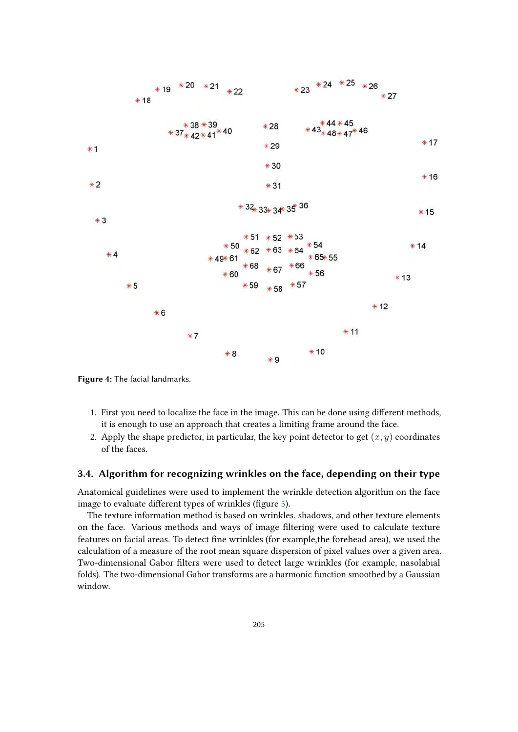

<span id="page-7-0"></span>**Figure 4:** The facial landmarks.

- 1. First you need to localize the face in the image. This can be done using different methods, it is enough to use an approach that creates a limiting frame around the face.
- 2. Apply the shape predictor, in particular, the key point detector to get  $(x, y)$  coordinates of the faces.

#### **3.4. Algorithm for recognizing wrinkles on the face, depending on their type**

Anatomical guidelines were used to implement the wrinkle detection algorithm on the face image to evaluate different types of wrinkles (figure [5\)](#page-8-0).

The texture information method is based on wrinkles, shadows, and other texture elements on the face. Various methods and ways of image filtering were used to calculate texture features on facial areas. To detect fine wrinkles (for example,the forehead area), we used the calculation of a measure of the root mean square dispersion of pixel values over a given area. Two-dimensional Gabor filters were used to detect large wrinkles (for example, nasolabial folds). The two-dimensional Gabor transforms are a harmonic function smoothed by a Gaussian window.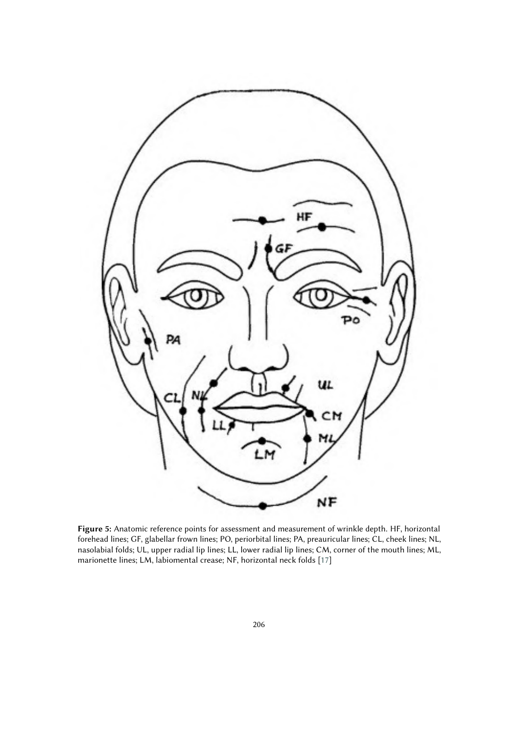

<span id="page-8-0"></span>**Figure 5:** Anatomic reference points for assessment and measurement of wrinkle depth. HF, horizontal forehead lines; GF, glabellar frown lines; PO, periorbital lines; PA, preauricular lines; CL, cheek lines; NL, nasolabial folds; UL, upper radial lip lines; LL, lower radial lip lines; CM, corner of the mouth lines; ML, marionette lines; LM, labiomental crease; NF, horizontal neck folds [\[17\]](#page-12-7)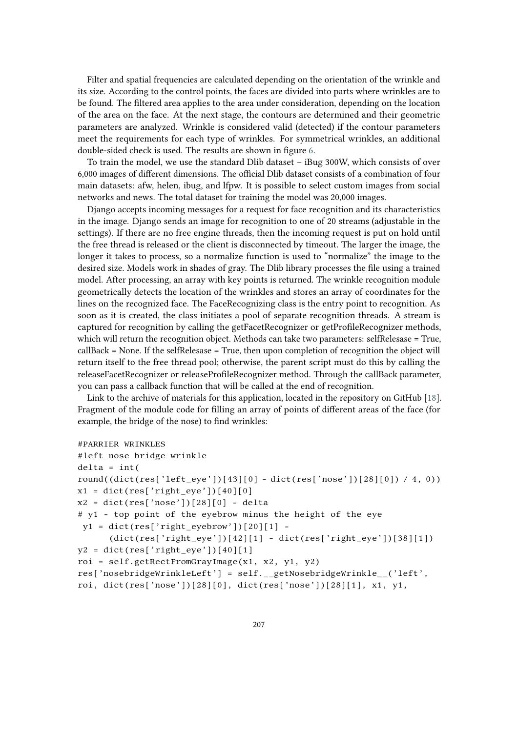Filter and spatial frequencies are calculated depending on the orientation of the wrinkle and its size. According to the control points, the faces are divided into parts where wrinkles are to be found. The filtered area applies to the area under consideration, depending on the location of the area on the face. At the next stage, the contours are determined and their geometric parameters are analyzed. Wrinkle is considered valid (detected) if the contour parameters meet the requirements for each type of wrinkles. For symmetrical wrinkles, an additional double-sided check is used. The results are shown in figure [6.](#page-10-0)

To train the model, we use the standard Dlib dataset – iBug 300W, which consists of over 6,000 images of different dimensions. The official Dlib dataset consists of a combination of four main datasets: afw, helen, ibug, and lfpw. It is possible to select custom images from social networks and news. The total dataset for training the model was 20,000 images.

Django accepts incoming messages for a request for face recognition and its characteristics in the image. Django sends an image for recognition to one of 20 streams (adjustable in the settings). If there are no free engine threads, then the incoming request is put on hold until the free thread is released or the client is disconnected by timeout. The larger the image, the longer it takes to process, so a normalize function is used to "normalize" the image to the desired size. Models work in shades of gray. The Dlib library processes the file using a trained model. After processing, an array with key points is returned. The wrinkle recognition module geometrically detects the location of the wrinkles and stores an array of coordinates for the lines on the recognized face. The FaceRecognizing class is the entry point to recognition. As soon as it is created, the class initiates a pool of separate recognition threads. A stream is captured for recognition by calling the getFacetRecognizer or getProfileRecognizer methods, which will return the recognition object. Methods can take two parameters: selfRelesase = True, callBack = None. If the selfRelesase = True, then upon completion of recognition the object will return itself to the free thread pool; otherwise, the parent script must do this by calling the releaseFacetRecognizer or releaseProfileRecognizer method. Through the callBack parameter, you can pass a callback function that will be called at the end of recognition.

Link to the archive of materials for this application, located in the repository on GitHub [\[18\]](#page-12-8). Fragment of the module code for filling an array of points of different areas of the face (for example, the bridge of the nose) to find wrinkles:

```
#PARRIER WRINKLES
#left nose bridge wrinkle
delta = int(round((dict(res['left_eye'])[43][0] - dict(res['nose'])[28][0]) / 4, 0))
x1 = \text{dict}(\text{res}['right\_eye')'[40][0]x2 = dict(res['nose'])[28][0] - delta# y1 - top point of the eyebrow minus the height of the eye
y1 = dict(res['right_eyebrow'])[20][1] -
      (dict(res['right_eye'])[42][1] - dict(res['right_eye'])[38][1])
y2 = dict(res['right\_eye')][40][1]roi = self.getRectFromGrayImage(x1, x2, y1, y2)
res['nosebridgeWrinkleLeft'] = self.__getNosebridgeWrinkle__('left',
roi, dict(res['nose'])[28][0], dict(res['nose'])[28][1], x1, y1,
```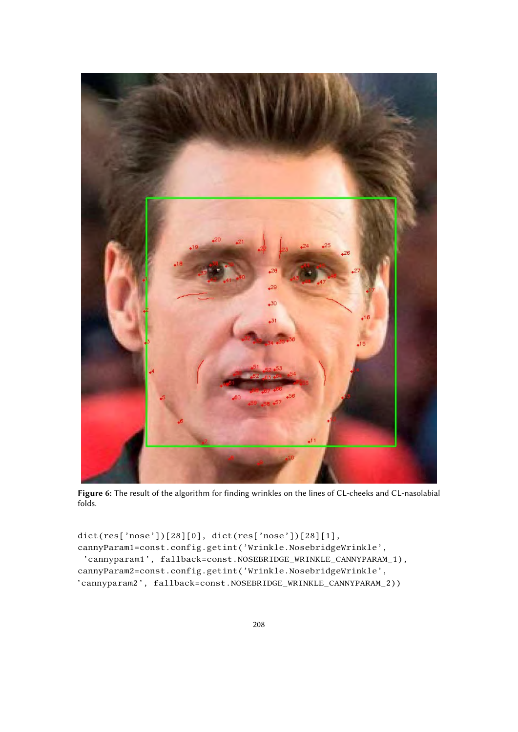

**Figure 6:** The result of the algorithm for finding wrinkles on the lines of CL-cheeks and CL-nasolabial folds.

```
dict(res['nose'])[28][0], dict(res['nose'])[28][1],
cannyParam1=const.config.getint('Wrinkle.NosebridgeWrinkle',
 'cannyparam1', fallback=const.NOSEBRIDGE_WRINKLE_CANNYPARAM_1),
cannyParam2=const.config.getint('Wrinkle.NosebridgeWrinkle',
'cannyparam2', fallback=const.NOSEBRIDGE_WRINKLE_CANNYPARAM_2))
```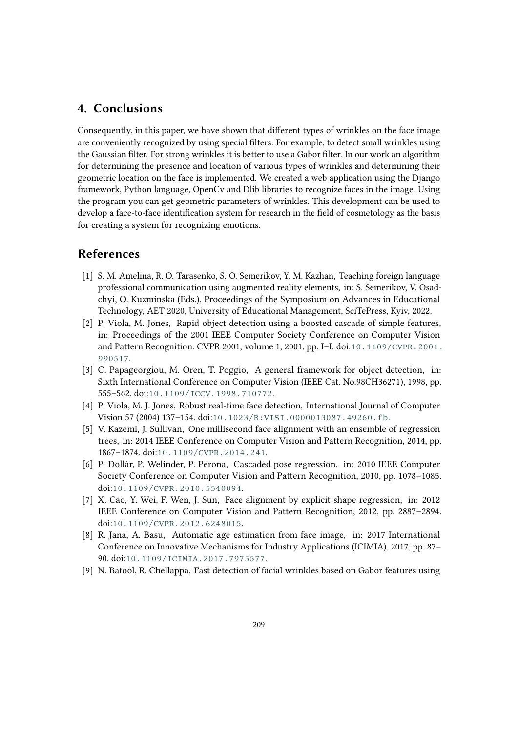# **4. Conclusions**

Consequently, in this paper, we have shown that different types of wrinkles on the face image are conveniently recognized by using special filters. For example, to detect small wrinkles using the Gaussian filter. For strong wrinkles it is better to use a Gabor filter. In our work an algorithm for determining the presence and location of various types of wrinkles and determining their geometric location on the face is implemented. We created a web application using the Django framework, Python language, OpenCv and Dlib libraries to recognize faces in the image. Using the program you can get geometric parameters of wrinkles. This development can be used to develop a face-to-face identification system for research in the field of cosmetology as the basis for creating a system for recognizing emotions.

## **References**

- [1] S. M. Amelina, R. O. Tarasenko, S. O. Semerikov, Y. M. Kazhan, Teaching foreign language professional communication using augmented reality elements, in: S. Semerikov, V. Osadchyi, O. Kuzminska (Eds.), Proceedings of the Symposium on Advances in Educational Technology, AET 2020, University of Educational Management, SciTePress, Kyiv, 2022.
- <span id="page-11-0"></span>[2] P. Viola, M. Jones, Rapid object detection using a boosted cascade of simple features, in: Proceedings of the 2001 IEEE Computer Society Conference on Computer Vision and Pattern Recognition. CVPR 2001, volume 1, 2001, pp. I–I. doi:[10.1109/CVPR.2001.](http://dx.doi.org/10.1109/CVPR.2001.990517) [990517](http://dx.doi.org/10.1109/CVPR.2001.990517).
- <span id="page-11-1"></span>[3] C. Papageorgiou, M. Oren, T. Poggio, A general framework for object detection, in: Sixth International Conference on Computer Vision (IEEE Cat. No.98CH36271), 1998, pp. 555–562. doi:[10.1109/ICCV.1998.710772](http://dx.doi.org/10.1109/ICCV.1998.710772).
- <span id="page-11-2"></span>[4] P. Viola, M. J. Jones, Robust real-time face detection, International Journal of Computer Vision 57 (2004) 137–154. doi:[10.1023/B:VISI.0000013087.49260.fb](http://dx.doi.org/10.1023/B:VISI.0000013087.49260.fb).
- <span id="page-11-3"></span>[5] V. Kazemi, J. Sullivan, One millisecond face alignment with an ensemble of regression trees, in: 2014 IEEE Conference on Computer Vision and Pattern Recognition, 2014, pp. 1867–1874. doi:[10.1109/CVPR.2014.241](http://dx.doi.org/10.1109/CVPR.2014.241).
- <span id="page-11-4"></span>[6] P. Dollár, P. Welinder, P. Perona, Cascaded pose regression, in: 2010 IEEE Computer Society Conference on Computer Vision and Pattern Recognition, 2010, pp. 1078–1085. doi:[10.1109/CVPR.2010.5540094](http://dx.doi.org/10.1109/CVPR.2010.5540094).
- <span id="page-11-5"></span>[7] X. Cao, Y. Wei, F. Wen, J. Sun, Face alignment by explicit shape regression, in: 2012 IEEE Conference on Computer Vision and Pattern Recognition, 2012, pp. 2887–2894. doi:[10.1109/CVPR.2012.6248015](http://dx.doi.org/10.1109/CVPR.2012.6248015).
- <span id="page-11-6"></span>[8] R. Jana, A. Basu, Automatic age estimation from face image, in: 2017 International Conference on Innovative Mechanisms for Industry Applications (ICIMIA), 2017, pp. 87– 90. doi:[10.1109/ICIMIA.2017.7975577](http://dx.doi.org/10.1109/ICIMIA.2017.7975577).
- <span id="page-11-7"></span>[9] N. Batool, R. Chellappa, Fast detection of facial wrinkles based on Gabor features using